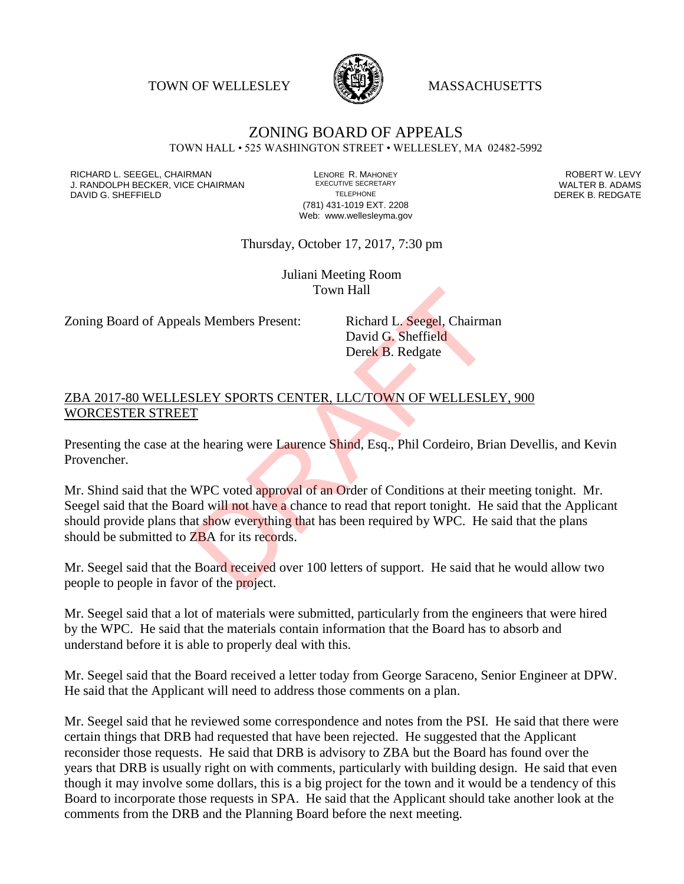TOWN OF WELLESLEY **WASSACHUSETTS** 



## ZONING BOARD OF APPEALS TOWN HALL • 525 WASHINGTON STREET • WELLESLEY, MA 02482-5992

RICHARD L. SEEGEL, CHAIRMAN LENORE R. MAHONEY ROBERT W. LEVY J. RANDOLPH BECKER, VICE CHAIRMAN EXECUTIVE SECRETARY THE SANDOLPH BECKER B. ADAMS<br>DAVID G. SHEFFIELD DEREK B. REDGATE DAVID G. SHEFFIELD

(781) 431-1019 EXT. 2208 Web: www.wellesleyma.gov

Thursday, October 17, 2017, 7:30 pm

Juliani Meeting Room Town Hall

Zoning Board of Appeals Members Present: Richard L. Seegel, Chairman

David G. Sheffield Derek B. Redgate

## ZBA 2017-80 WELLESLEY SPORTS CENTER, LLC/TOWN OF WELLESLEY, 900 WORCESTER STREET

Presenting the case at the hearing were Laurence Shind, Esq., Phil Cordeiro, Brian Devellis, and Kevin Provencher.

Mr. Shind said that the WPC voted approval of an Order of Conditions at their meeting tonight. Mr. Seegel said that the Board will not have a chance to read that report tonight. He said that the Applicant should provide plans that show everything that has been required by WPC. He said that the plans should be submitted to ZBA for its records. Town Hall<br>
Is Members Present: Richard L. Seegel, Chairma<br>
David G. Sheffield<br>
Derek B. Redgate<br>
SLEY SPORTS CENTER, LLC/TOWN OF WELLESLE<br>
T<br>
ne hearing were Laurence Shind, Esq., Phil Cordeiro, Bri<br>
WPC voted approval of

Mr. Seegel said that the Board received over 100 letters of support. He said that he would allow two people to people in favor of the project.

Mr. Seegel said that a lot of materials were submitted, particularly from the engineers that were hired by the WPC. He said that the materials contain information that the Board has to absorb and understand before it is able to properly deal with this.

Mr. Seegel said that the Board received a letter today from George Saraceno, Senior Engineer at DPW. He said that the Applicant will need to address those comments on a plan.

Mr. Seegel said that he reviewed some correspondence and notes from the PSI. He said that there were certain things that DRB had requested that have been rejected. He suggested that the Applicant reconsider those requests. He said that DRB is advisory to ZBA but the Board has found over the years that DRB is usually right on with comments, particularly with building design. He said that even though it may involve some dollars, this is a big project for the town and it would be a tendency of this Board to incorporate those requests in SPA. He said that the Applicant should take another look at the comments from the DRB and the Planning Board before the next meeting.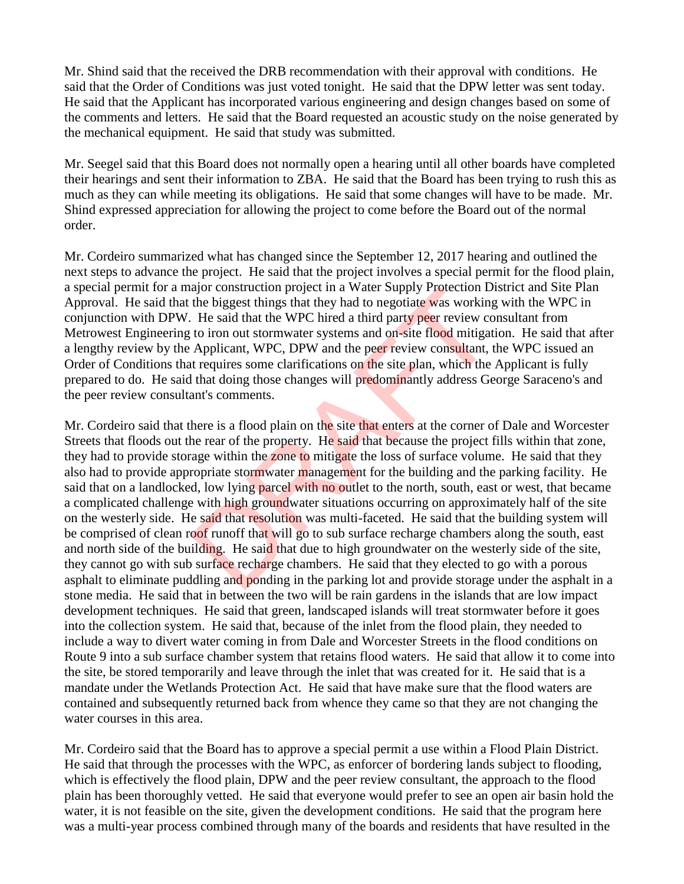Mr. Shind said that the received the DRB recommendation with their approval with conditions. He said that the Order of Conditions was just voted tonight. He said that the DPW letter was sent today. He said that the Applicant has incorporated various engineering and design changes based on some of the comments and letters. He said that the Board requested an acoustic study on the noise generated by the mechanical equipment. He said that study was submitted.

Mr. Seegel said that this Board does not normally open a hearing until all other boards have completed their hearings and sent their information to ZBA. He said that the Board has been trying to rush this as much as they can while meeting its obligations. He said that some changes will have to be made. Mr. Shind expressed appreciation for allowing the project to come before the Board out of the normal order.

Mr. Cordeiro summarized what has changed since the September 12, 2017 hearing and outlined the next steps to advance the project. He said that the project involves a special permit for the flood plain, a special permit for a major construction project in a Water Supply Protection District and Site Plan Approval. He said that the biggest things that they had to negotiate was working with the WPC in conjunction with DPW. He said that the WPC hired a third party peer review consultant from Metrowest Engineering to iron out stormwater systems and on-site flood mitigation. He said that after a lengthy review by the Applicant, WPC, DPW and the peer review consultant, the WPC issued an Order of Conditions that requires some clarifications on the site plan, which the Applicant is fully prepared to do. He said that doing those changes will predominantly address George Saraceno's and the peer review consultant's comments.

Mr. Cordeiro said that there is a flood plain on the site that enters at the corner of Dale and Worcester Streets that floods out the rear of the property. He said that because the project fills within that zone, they had to provide storage within the zone to mitigate the loss of surface volume. He said that they also had to provide appropriate stormwater management for the building and the parking facility. He said that on a landlocked, low lying parcel with no outlet to the north, south, east or west, that became a complicated challenge with high groundwater situations occurring on approximately half of the site on the westerly side. He said that resolution was multi-faceted. He said that the building system will be comprised of clean roof runoff that will go to sub surface recharge chambers along the south, east and north side of the building. He said that due to high groundwater on the westerly side of the site, they cannot go with sub surface recharge chambers. He said that they elected to go with a porous asphalt to eliminate puddling and ponding in the parking lot and provide storage under the asphalt in a stone media. He said that in between the two will be rain gardens in the islands that are low impact development techniques. He said that green, landscaped islands will treat stormwater before it goes into the collection system. He said that, because of the inlet from the flood plain, they needed to include a way to divert water coming in from Dale and Worcester Streets in the flood conditions on Route 9 into a sub surface chamber system that retains flood waters. He said that allow it to come into the site, be stored temporarily and leave through the inlet that was created for it. He said that is a mandate under the Wetlands Protection Act. He said that have make sure that the flood waters are contained and subsequently returned back from whence they came so that they are not changing the water courses in this area. alor construction project in a water supply protection D<br>the biggest things that they had to negotiate was working<br>He said that the WPC hired a third party peer review co<br>to iron out stormwater systems and on-site flood mi

Mr. Cordeiro said that the Board has to approve a special permit a use within a Flood Plain District. He said that through the processes with the WPC, as enforcer of bordering lands subject to flooding, which is effectively the flood plain, DPW and the peer review consultant, the approach to the flood plain has been thoroughly vetted. He said that everyone would prefer to see an open air basin hold the water, it is not feasible on the site, given the development conditions. He said that the program here was a multi-year process combined through many of the boards and residents that have resulted in the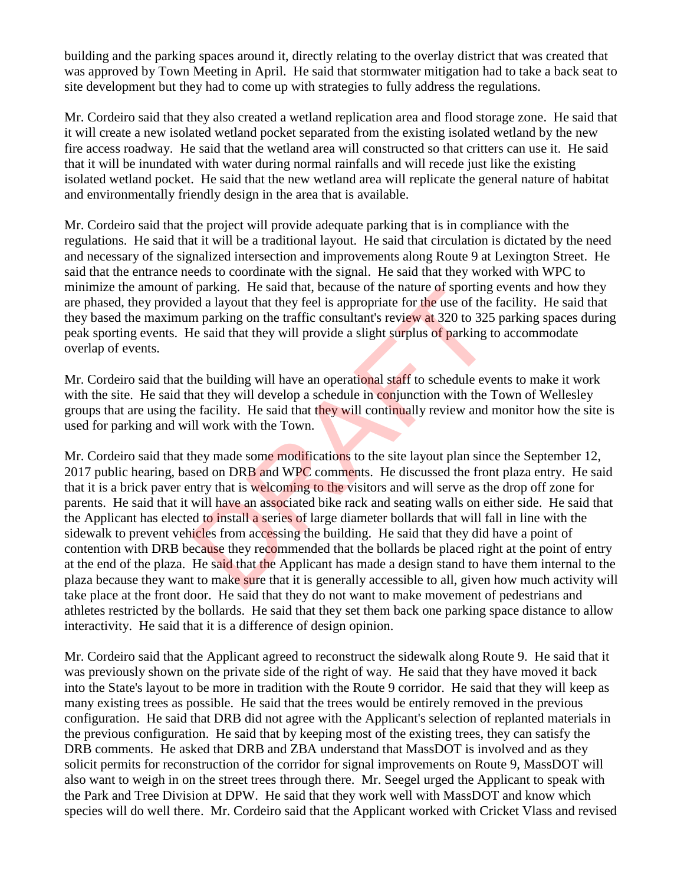building and the parking spaces around it, directly relating to the overlay district that was created that was approved by Town Meeting in April. He said that stormwater mitigation had to take a back seat to site development but they had to come up with strategies to fully address the regulations.

Mr. Cordeiro said that they also created a wetland replication area and flood storage zone. He said that it will create a new isolated wetland pocket separated from the existing isolated wetland by the new fire access roadway. He said that the wetland area will constructed so that critters can use it. He said that it will be inundated with water during normal rainfalls and will recede just like the existing isolated wetland pocket. He said that the new wetland area will replicate the general nature of habitat and environmentally friendly design in the area that is available.

Mr. Cordeiro said that the project will provide adequate parking that is in compliance with the regulations. He said that it will be a traditional layout. He said that circulation is dictated by the need and necessary of the signalized intersection and improvements along Route 9 at Lexington Street. He said that the entrance needs to coordinate with the signal. He said that they worked with WPC to minimize the amount of parking. He said that, because of the nature of sporting events and how they are phased, they provided a layout that they feel is appropriate for the use of the facility. He said that they based the maximum parking on the traffic consultant's review at 320 to 325 parking spaces during peak sporting events. He said that they will provide a slight surplus of parking to accommodate overlap of events.

Mr. Cordeiro said that the building will have an operational staff to schedule events to make it work with the site. He said that they will develop a schedule in conjunction with the Town of Wellesley groups that are using the facility. He said that they will continually review and monitor how the site is used for parking and will work with the Town.

Mr. Cordeiro said that they made some modifications to the site layout plan since the September 12, 2017 public hearing, based on DRB and WPC comments. He discussed the front plaza entry. He said that it is a brick paver entry that is welcoming to the visitors and will serve as the drop off zone for parents. He said that it will have an associated bike rack and seating walls on either side. He said that the Applicant has elected to install a series of large diameter bollards that will fall in line with the sidewalk to prevent vehicles from accessing the building. He said that they did have a point of contention with DRB because they recommended that the bollards be placed right at the point of entry at the end of the plaza. He said that the Applicant has made a design stand to have them internal to the plaza because they want to make sure that it is generally accessible to all, given how much activity will take place at the front door. He said that they do not want to make movement of pedestrians and athletes restricted by the bollards. He said that they set them back one parking space distance to allow interactivity. He said that it is a difference of design opinion. parking. He said that, because of the hatter of sporting<br>ed a layout that they feel is appropriate for the use of the<br>m parking on the traffic consultant's review at 320 to 325<br>le said that they will provide a slight surpl

Mr. Cordeiro said that the Applicant agreed to reconstruct the sidewalk along Route 9. He said that it was previously shown on the private side of the right of way. He said that they have moved it back into the State's layout to be more in tradition with the Route 9 corridor. He said that they will keep as many existing trees as possible. He said that the trees would be entirely removed in the previous configuration. He said that DRB did not agree with the Applicant's selection of replanted materials in the previous configuration. He said that by keeping most of the existing trees, they can satisfy the DRB comments. He asked that DRB and ZBA understand that MassDOT is involved and as they solicit permits for reconstruction of the corridor for signal improvements on Route 9, MassDOT will also want to weigh in on the street trees through there. Mr. Seegel urged the Applicant to speak with the Park and Tree Division at DPW. He said that they work well with MassDOT and know which species will do well there. Mr. Cordeiro said that the Applicant worked with Cricket Vlass and revised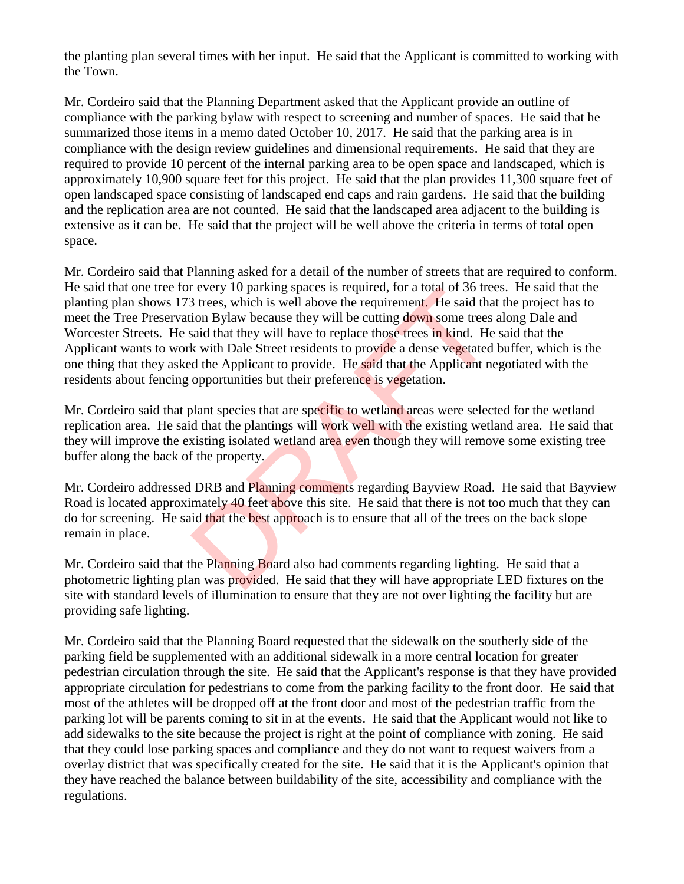the planting plan several times with her input. He said that the Applicant is committed to working with the Town.

Mr. Cordeiro said that the Planning Department asked that the Applicant provide an outline of compliance with the parking bylaw with respect to screening and number of spaces. He said that he summarized those items in a memo dated October 10, 2017. He said that the parking area is in compliance with the design review guidelines and dimensional requirements. He said that they are required to provide 10 percent of the internal parking area to be open space and landscaped, which is approximately 10,900 square feet for this project. He said that the plan provides 11,300 square feet of open landscaped space consisting of landscaped end caps and rain gardens. He said that the building and the replication area are not counted. He said that the landscaped area adjacent to the building is extensive as it can be. He said that the project will be well above the criteria in terms of total open space.

Mr. Cordeiro said that Planning asked for a detail of the number of streets that are required to conform. He said that one tree for every 10 parking spaces is required, for a total of 36 trees. He said that the planting plan shows 173 trees, which is well above the requirement. He said that the project has to meet the Tree Preservation Bylaw because they will be cutting down some trees along Dale and Worcester Streets. He said that they will have to replace those trees in kind. He said that the Applicant wants to work with Dale Street residents to provide a dense vegetated buffer, which is the one thing that they asked the Applicant to provide. He said that the Applicant negotiated with the residents about fencing opportunities but their preference is vegetation. Provery 10 parking spaces is required, for a total of 30 derembles of the said that they will above the requirement. He said that they will have to replace those trees in kind. He k with Dale Street residents to provide a

Mr. Cordeiro said that plant species that are specific to wetland areas were selected for the wetland replication area. He said that the plantings will work well with the existing wetland area. He said that they will improve the existing isolated wetland area even though they will remove some existing tree buffer along the back of the property.

Mr. Cordeiro addressed DRB and Planning comments regarding Bayview Road. He said that Bayview Road is located approximately 40 feet above this site. He said that there is not too much that they can do for screening. He said that the best approach is to ensure that all of the trees on the back slope remain in place.

Mr. Cordeiro said that the Planning Board also had comments regarding lighting. He said that a photometric lighting plan was provided. He said that they will have appropriate LED fixtures on the site with standard levels of illumination to ensure that they are not over lighting the facility but are providing safe lighting.

Mr. Cordeiro said that the Planning Board requested that the sidewalk on the southerly side of the parking field be supplemented with an additional sidewalk in a more central location for greater pedestrian circulation through the site. He said that the Applicant's response is that they have provided appropriate circulation for pedestrians to come from the parking facility to the front door. He said that most of the athletes will be dropped off at the front door and most of the pedestrian traffic from the parking lot will be parents coming to sit in at the events. He said that the Applicant would not like to add sidewalks to the site because the project is right at the point of compliance with zoning. He said that they could lose parking spaces and compliance and they do not want to request waivers from a overlay district that was specifically created for the site. He said that it is the Applicant's opinion that they have reached the balance between buildability of the site, accessibility and compliance with the regulations.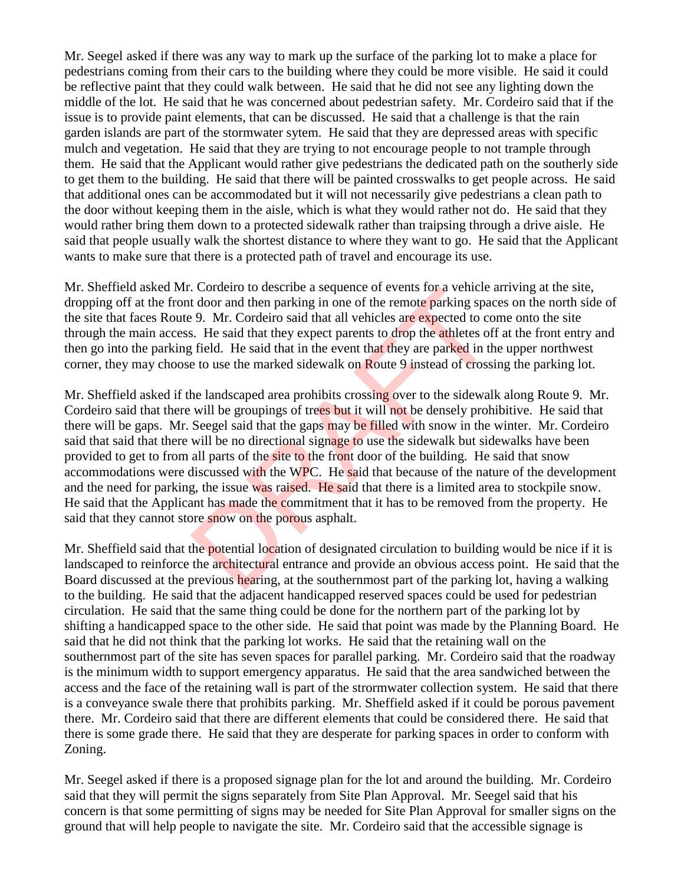Mr. Seegel asked if there was any way to mark up the surface of the parking lot to make a place for pedestrians coming from their cars to the building where they could be more visible. He said it could be reflective paint that they could walk between. He said that he did not see any lighting down the middle of the lot. He said that he was concerned about pedestrian safety. Mr. Cordeiro said that if the issue is to provide paint elements, that can be discussed. He said that a challenge is that the rain garden islands are part of the stormwater sytem. He said that they are depressed areas with specific mulch and vegetation. He said that they are trying to not encourage people to not trample through them. He said that the Applicant would rather give pedestrians the dedicated path on the southerly side to get them to the building. He said that there will be painted crosswalks to get people across. He said that additional ones can be accommodated but it will not necessarily give pedestrians a clean path to the door without keeping them in the aisle, which is what they would rather not do. He said that they would rather bring them down to a protected sidewalk rather than traipsing through a drive aisle. He said that people usually walk the shortest distance to where they want to go. He said that the Applicant wants to make sure that there is a protected path of travel and encourage its use.

Mr. Sheffield asked Mr. Cordeiro to describe a sequence of events for a vehicle arriving at the site, dropping off at the front door and then parking in one of the remote parking spaces on the north side of the site that faces Route 9. Mr. Cordeiro said that all vehicles are expected to come onto the site through the main access. He said that they expect parents to drop the athletes off at the front entry and then go into the parking field. He said that in the event that they are parked in the upper northwest corner, they may choose to use the marked sidewalk on Route 9 instead of crossing the parking lot.

Mr. Sheffield asked if the landscaped area prohibits crossing over to the sidewalk along Route 9. Mr. Cordeiro said that there will be groupings of trees but it will not be densely prohibitive. He said that there will be gaps. Mr. Seegel said that the gaps may be filled with snow in the winter. Mr. Cordeiro said that said that there will be no directional signage to use the sidewalk but sidewalks have been provided to get to from all parts of the site to the front door of the building. He said that snow accommodations were discussed with the WPC. He said that because of the nature of the development and the need for parking, the issue was raised. He said that there is a limited area to stockpile snow. He said that the Applicant has made the commitment that it has to be removed from the property. He said that they cannot store snow on the porous asphalt. Cordiation of describe a sequence of events for a ventile is door and then parking in one of the remote parking space 9. Mr. Cordeiro said that all vehicles are expected to co is. He said that they expect parents to drop t

Mr. Sheffield said that the potential location of designated circulation to building would be nice if it is landscaped to reinforce the architectural entrance and provide an obvious access point. He said that the Board discussed at the previous hearing, at the southernmost part of the parking lot, having a walking to the building. He said that the adjacent handicapped reserved spaces could be used for pedestrian circulation. He said that the same thing could be done for the northern part of the parking lot by shifting a handicapped space to the other side. He said that point was made by the Planning Board. He said that he did not think that the parking lot works. He said that the retaining wall on the southernmost part of the site has seven spaces for parallel parking. Mr. Cordeiro said that the roadway is the minimum width to support emergency apparatus. He said that the area sandwiched between the access and the face of the retaining wall is part of the strormwater collection system. He said that there is a conveyance swale there that prohibits parking. Mr. Sheffield asked if it could be porous pavement there. Mr. Cordeiro said that there are different elements that could be considered there. He said that there is some grade there. He said that they are desperate for parking spaces in order to conform with Zoning.

Mr. Seegel asked if there is a proposed signage plan for the lot and around the building. Mr. Cordeiro said that they will permit the signs separately from Site Plan Approval. Mr. Seegel said that his concern is that some permitting of signs may be needed for Site Plan Approval for smaller signs on the ground that will help people to navigate the site. Mr. Cordeiro said that the accessible signage is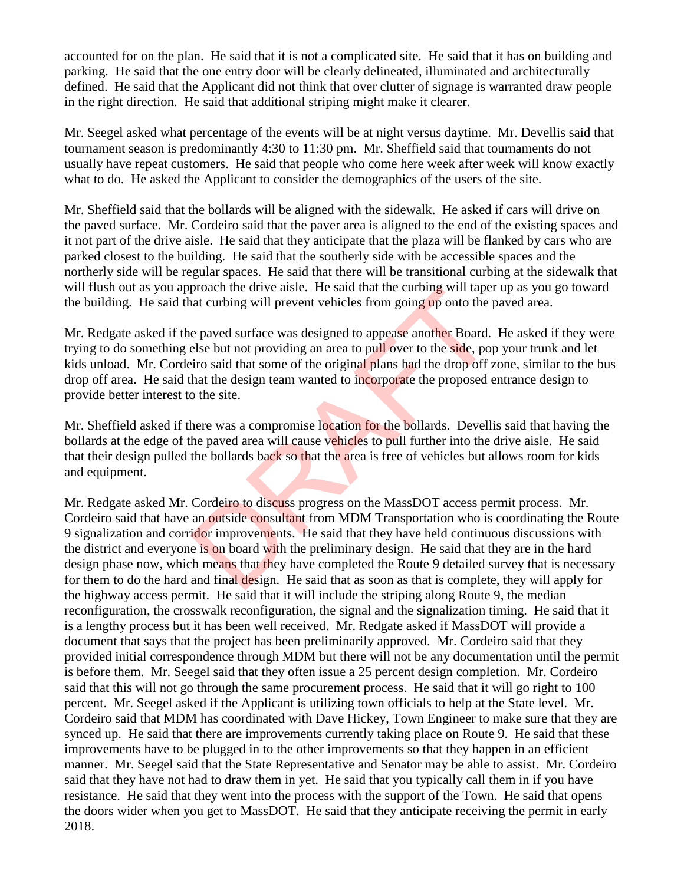accounted for on the plan. He said that it is not a complicated site. He said that it has on building and parking. He said that the one entry door will be clearly delineated, illuminated and architecturally defined. He said that the Applicant did not think that over clutter of signage is warranted draw people in the right direction. He said that additional striping might make it clearer.

Mr. Seegel asked what percentage of the events will be at night versus daytime. Mr. Devellis said that tournament season is predominantly 4:30 to 11:30 pm. Mr. Sheffield said that tournaments do not usually have repeat customers. He said that people who come here week after week will know exactly what to do. He asked the Applicant to consider the demographics of the users of the site.

Mr. Sheffield said that the bollards will be aligned with the sidewalk. He asked if cars will drive on the paved surface. Mr. Cordeiro said that the paver area is aligned to the end of the existing spaces and it not part of the drive aisle. He said that they anticipate that the plaza will be flanked by cars who are parked closest to the building. He said that the southerly side with be accessible spaces and the northerly side will be regular spaces. He said that there will be transitional curbing at the sidewalk that will flush out as you approach the drive aisle. He said that the curbing will taper up as you go toward the building. He said that curbing will prevent vehicles from going up onto the paved area.

Mr. Redgate asked if the paved surface was designed to appease another Board. He asked if they were trying to do something else but not providing an area to pull over to the side, pop your trunk and let kids unload. Mr. Cordeiro said that some of the original plans had the drop off zone, similar to the bus drop off area. He said that the design team wanted to incorporate the proposed entrance design to provide better interest to the site.

Mr. Sheffield asked if there was a compromise location for the bollards. Devellis said that having the bollards at the edge of the paved area will cause vehicles to pull further into the drive aisle. He said that their design pulled the bollards back so that the area is free of vehicles but allows room for kids and equipment.

Mr. Redgate asked Mr. Cordeiro to discuss progress on the MassDOT access permit process. Mr. Cordeiro said that have an outside consultant from MDM Transportation who is coordinating the Route 9 signalization and corridor improvements. He said that they have held continuous discussions with the district and everyone is on board with the preliminary design. He said that they are in the hard design phase now, which means that they have completed the Route 9 detailed survey that is necessary for them to do the hard and final design. He said that as soon as that is complete, they will apply for the highway access permit. He said that it will include the striping along Route 9, the median reconfiguration, the crosswalk reconfiguration, the signal and the signalization timing. He said that it is a lengthy process but it has been well received. Mr. Redgate asked if MassDOT will provide a document that says that the project has been preliminarily approved. Mr. Cordeiro said that they provided initial correspondence through MDM but there will not be any documentation until the permit is before them. Mr. Seegel said that they often issue a 25 percent design completion. Mr. Cordeiro said that this will not go through the same procurement process. He said that it will go right to 100 percent. Mr. Seegel asked if the Applicant is utilizing town officials to help at the State level. Mr. Cordeiro said that MDM has coordinated with Dave Hickey, Town Engineer to make sure that they are synced up. He said that there are improvements currently taking place on Route 9. He said that these improvements have to be plugged in to the other improvements so that they happen in an efficient manner. Mr. Seegel said that the State Representative and Senator may be able to assist. Mr. Cordeiro said that they have not had to draw them in yet. He said that you typically call them in if you have resistance. He said that they went into the process with the support of the Town. He said that opens the doors wider when you get to MassDOT. He said that they anticipate receiving the permit in early 2018. proach the dive alse. He said that the current variable and curbing will prevent vehicles from going up onto the p<br>e paved surface was designed to appease another Board.<br>else but not providing an area to pull over to the s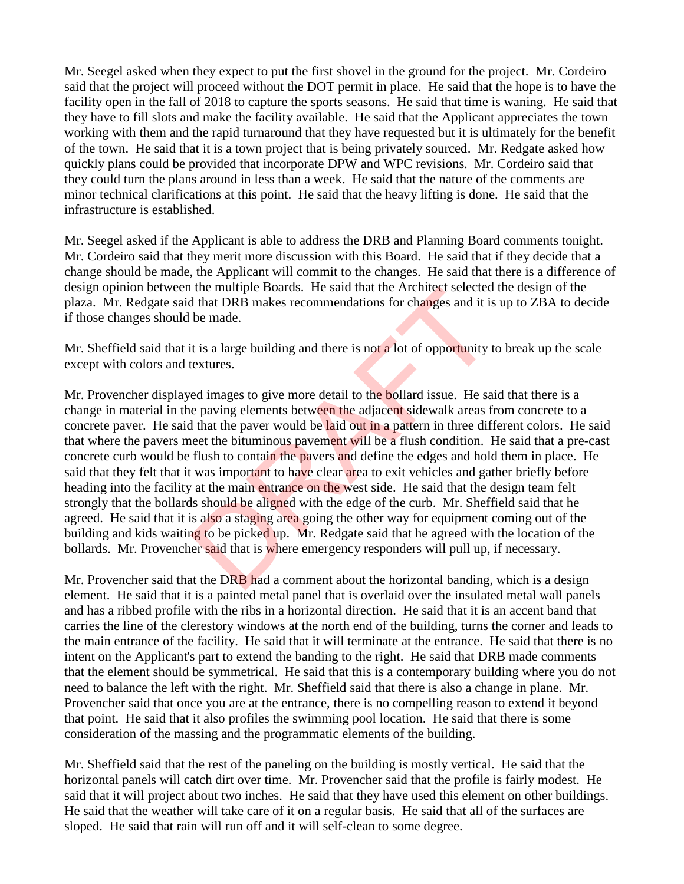Mr. Seegel asked when they expect to put the first shovel in the ground for the project. Mr. Cordeiro said that the project will proceed without the DOT permit in place. He said that the hope is to have the facility open in the fall of 2018 to capture the sports seasons. He said that time is waning. He said that they have to fill slots and make the facility available. He said that the Applicant appreciates the town working with them and the rapid turnaround that they have requested but it is ultimately for the benefit of the town. He said that it is a town project that is being privately sourced. Mr. Redgate asked how quickly plans could be provided that incorporate DPW and WPC revisions. Mr. Cordeiro said that they could turn the plans around in less than a week. He said that the nature of the comments are minor technical clarifications at this point. He said that the heavy lifting is done. He said that the infrastructure is established.

Mr. Seegel asked if the Applicant is able to address the DRB and Planning Board comments tonight. Mr. Cordeiro said that they merit more discussion with this Board. He said that if they decide that a change should be made, the Applicant will commit to the changes. He said that there is a difference of design opinion between the multiple Boards. He said that the Architect selected the design of the plaza. Mr. Redgate said that DRB makes recommendations for changes and it is up to ZBA to decide if those changes should be made.

Mr. Sheffield said that it is a large building and there is not a lot of opportunity to break up the scale except with colors and textures.

Mr. Provencher displayed images to give more detail to the bollard issue. He said that there is a change in material in the paving elements between the adjacent sidewalk areas from concrete to a concrete paver. He said that the paver would be laid out in a pattern in three different colors. He said that where the pavers meet the bituminous pavement will be a flush condition. He said that a pre-cast concrete curb would be flush to contain the pavers and define the edges and hold them in place. He said that they felt that it was important to have clear area to exit vehicles and gather briefly before heading into the facility at the main entrance on the west side. He said that the design team felt strongly that the bollards should be aligned with the edge of the curb. Mr. Sheffield said that he agreed. He said that it is also a staging area going the other way for equipment coming out of the building and kids waiting to be picked up. Mr. Redgate said that he agreed with the location of the bollards. Mr. Provencher said that is where emergency responders will pull up, if necessary. the multiple Boards. He said that the Architect selected<br>that DRB makes recommendations for changes and it is<br>be made.<br>it is a large building and there is not a lot of opportunity t<br>extures.<br>ed images to give more detail t

Mr. Provencher said that the DRB had a comment about the horizontal banding, which is a design element. He said that it is a painted metal panel that is overlaid over the insulated metal wall panels and has a ribbed profile with the ribs in a horizontal direction. He said that it is an accent band that carries the line of the clerestory windows at the north end of the building, turns the corner and leads to the main entrance of the facility. He said that it will terminate at the entrance. He said that there is no intent on the Applicant's part to extend the banding to the right. He said that DRB made comments that the element should be symmetrical. He said that this is a contemporary building where you do not need to balance the left with the right. Mr. Sheffield said that there is also a change in plane. Mr. Provencher said that once you are at the entrance, there is no compelling reason to extend it beyond that point. He said that it also profiles the swimming pool location. He said that there is some consideration of the massing and the programmatic elements of the building.

Mr. Sheffield said that the rest of the paneling on the building is mostly vertical. He said that the horizontal panels will catch dirt over time. Mr. Provencher said that the profile is fairly modest. He said that it will project about two inches. He said that they have used this element on other buildings. He said that the weather will take care of it on a regular basis. He said that all of the surfaces are sloped. He said that rain will run off and it will self-clean to some degree.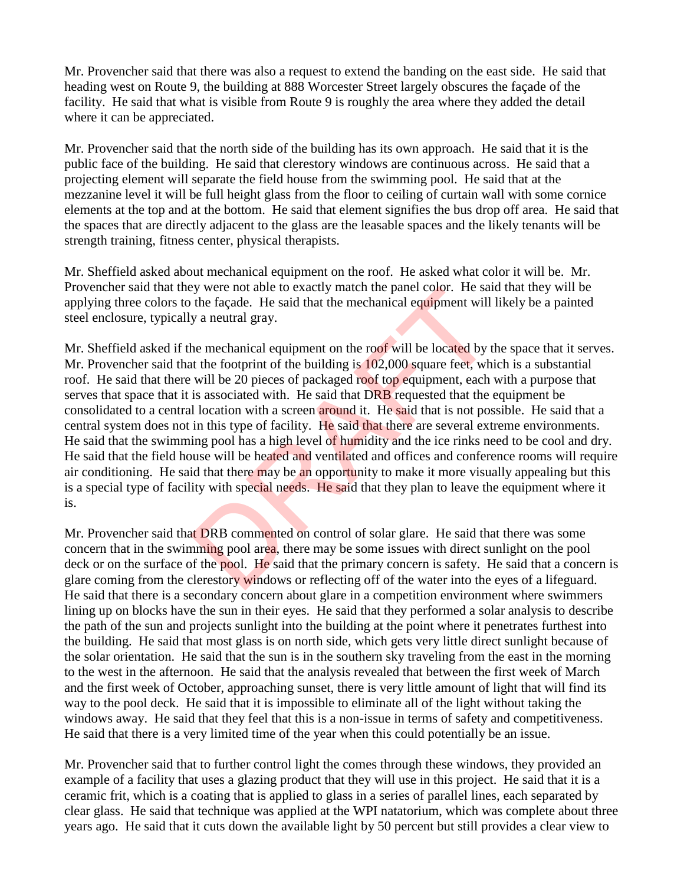Mr. Provencher said that there was also a request to extend the banding on the east side. He said that heading west on Route 9, the building at 888 Worcester Street largely obscures the façade of the facility. He said that what is visible from Route 9 is roughly the area where they added the detail where it can be appreciated.

Mr. Provencher said that the north side of the building has its own approach. He said that it is the public face of the building. He said that clerestory windows are continuous across. He said that a projecting element will separate the field house from the swimming pool. He said that at the mezzanine level it will be full height glass from the floor to ceiling of curtain wall with some cornice elements at the top and at the bottom. He said that element signifies the bus drop off area. He said that the spaces that are directly adjacent to the glass are the leasable spaces and the likely tenants will be strength training, fitness center, physical therapists.

Mr. Sheffield asked about mechanical equipment on the roof. He asked what color it will be. Mr. Provencher said that they were not able to exactly match the panel color. He said that they will be applying three colors to the façade. He said that the mechanical equipment will likely be a painted steel enclosure, typically a neutral gray.

Mr. Sheffield asked if the mechanical equipment on the roof will be located by the space that it serves. Mr. Provencher said that the footprint of the building is 102,000 square feet, which is a substantial roof. He said that there will be 20 pieces of packaged roof top equipment, each with a purpose that serves that space that it is associated with. He said that DRB requested that the equipment be consolidated to a central location with a screen around it. He said that is not possible. He said that a central system does not in this type of facility. He said that there are several extreme environments. He said that the swimming pool has a high level of humidity and the ice rinks need to be cool and dry. He said that the field house will be heated and ventilated and offices and conference rooms will require air conditioning. He said that there may be an opportunity to make it more visually appealing but this is a special type of facility with special needs. He said that they plan to leave the equipment where it is. by were not able to exactly match the panel color. He said the façade. He said that the mechanical equipment will y a neutral gray.<br>
the mechanical equipment on the roof will be located by t the footprint of the building i

Mr. Provencher said that DRB commented on control of solar glare. He said that there was some concern that in the swimming pool area, there may be some issues with direct sunlight on the pool deck or on the surface of the pool. He said that the primary concern is safety. He said that a concern is glare coming from the clerestory windows or reflecting off of the water into the eyes of a lifeguard. He said that there is a secondary concern about glare in a competition environment where swimmers lining up on blocks have the sun in their eyes. He said that they performed a solar analysis to describe the path of the sun and projects sunlight into the building at the point where it penetrates furthest into the building. He said that most glass is on north side, which gets very little direct sunlight because of the solar orientation. He said that the sun is in the southern sky traveling from the east in the morning to the west in the afternoon. He said that the analysis revealed that between the first week of March and the first week of October, approaching sunset, there is very little amount of light that will find its way to the pool deck. He said that it is impossible to eliminate all of the light without taking the windows away. He said that they feel that this is a non-issue in terms of safety and competitiveness. He said that there is a very limited time of the year when this could potentially be an issue.

Mr. Provencher said that to further control light the comes through these windows, they provided an example of a facility that uses a glazing product that they will use in this project. He said that it is a ceramic frit, which is a coating that is applied to glass in a series of parallel lines, each separated by clear glass. He said that technique was applied at the WPI natatorium, which was complete about three years ago. He said that it cuts down the available light by 50 percent but still provides a clear view to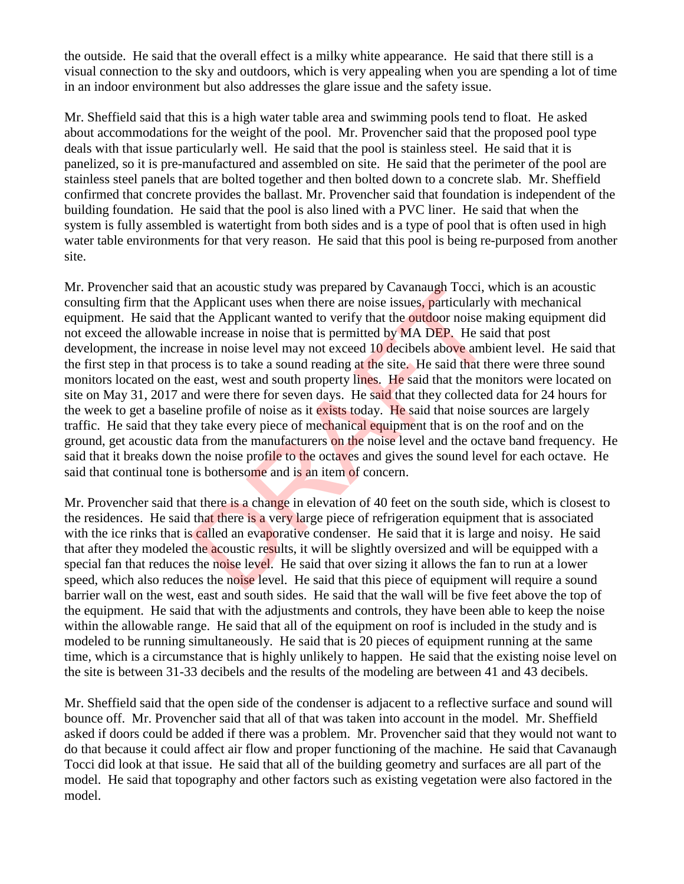the outside. He said that the overall effect is a milky white appearance. He said that there still is a visual connection to the sky and outdoors, which is very appealing when you are spending a lot of time in an indoor environment but also addresses the glare issue and the safety issue.

Mr. Sheffield said that this is a high water table area and swimming pools tend to float. He asked about accommodations for the weight of the pool. Mr. Provencher said that the proposed pool type deals with that issue particularly well. He said that the pool is stainless steel. He said that it is panelized, so it is pre-manufactured and assembled on site. He said that the perimeter of the pool are stainless steel panels that are bolted together and then bolted down to a concrete slab. Mr. Sheffield confirmed that concrete provides the ballast. Mr. Provencher said that foundation is independent of the building foundation. He said that the pool is also lined with a PVC liner. He said that when the system is fully assembled is watertight from both sides and is a type of pool that is often used in high water table environments for that very reason. He said that this pool is being re-purposed from another site.

Mr. Provencher said that an acoustic study was prepared by Cavanaugh Tocci, which is an acoustic consulting firm that the Applicant uses when there are noise issues, particularly with mechanical equipment. He said that the Applicant wanted to verify that the **outdoor** noise making equipment did not exceed the allowable increase in noise that is permitted by MA DEP. He said that post development, the increase in noise level may not exceed 10 decibels above ambient level. He said that the first step in that process is to take a sound reading at the site. He said that there were three sound monitors located on the east, west and south property lines. He said that the monitors were located on site on May 31, 2017 and were there for seven days. He said that they collected data for 24 hours for the week to get a baseline profile of noise as it exists today. He said that noise sources are largely traffic. He said that they take every piece of mechanical equipment that is on the roof and on the ground, get acoustic data from the manufacturers on the noise level and the octave band frequency. He said that it breaks down the noise profile to the octaves and gives the sound level for each octave. He said that continual tone is bothersome and is an item of concern. It an acoustic study was prepared by Cavanaugh 10ccl, we Applicant uses when there are noise issues, particularly t the Applicant wanted to verify that the **outdoor** noise me increase in noise that is permitted by MA DEP.

Mr. Provencher said that there is a change in elevation of 40 feet on the south side, which is closest to the residences. He said that there is a very large piece of refrigeration equipment that is associated with the ice rinks that is called an evaporative condenser. He said that it is large and noisy. He said that after they modeled the acoustic results, it will be slightly oversized and will be equipped with a special fan that reduces the noise level. He said that over sizing it allows the fan to run at a lower speed, which also reduces the noise level. He said that this piece of equipment will require a sound barrier wall on the west, east and south sides. He said that the wall will be five feet above the top of the equipment. He said that with the adjustments and controls, they have been able to keep the noise within the allowable range. He said that all of the equipment on roof is included in the study and is modeled to be running simultaneously. He said that is 20 pieces of equipment running at the same time, which is a circumstance that is highly unlikely to happen. He said that the existing noise level on the site is between 31-33 decibels and the results of the modeling are between 41 and 43 decibels.

Mr. Sheffield said that the open side of the condenser is adjacent to a reflective surface and sound will bounce off. Mr. Provencher said that all of that was taken into account in the model. Mr. Sheffield asked if doors could be added if there was a problem. Mr. Provencher said that they would not want to do that because it could affect air flow and proper functioning of the machine. He said that Cavanaugh Tocci did look at that issue. He said that all of the building geometry and surfaces are all part of the model. He said that topography and other factors such as existing vegetation were also factored in the model.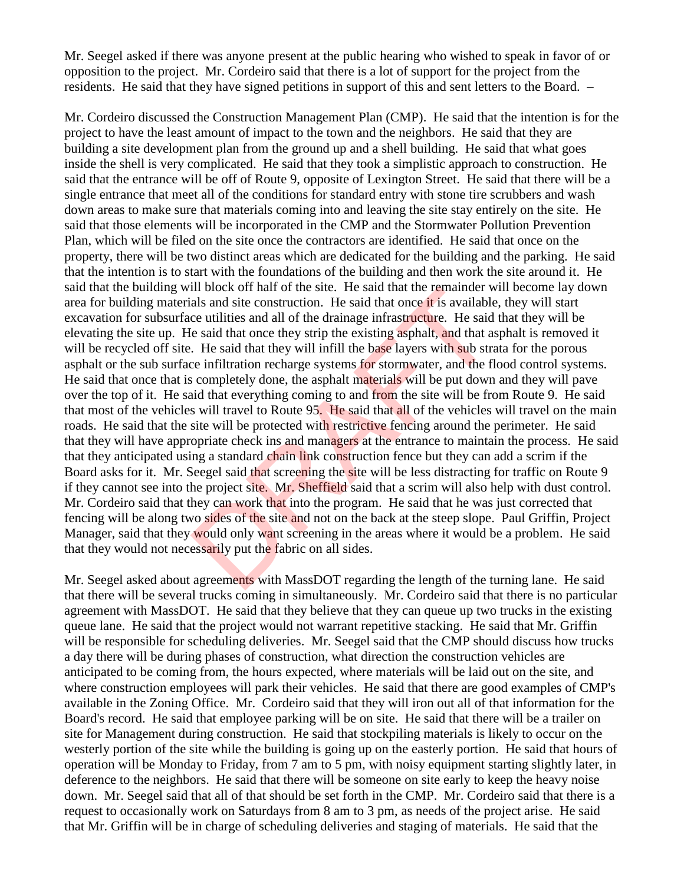Mr. Seegel asked if there was anyone present at the public hearing who wished to speak in favor of or opposition to the project. Mr. Cordeiro said that there is a lot of support for the project from the residents. He said that they have signed petitions in support of this and sent letters to the Board. –

Mr. Cordeiro discussed the Construction Management Plan (CMP). He said that the intention is for the project to have the least amount of impact to the town and the neighbors. He said that they are building a site development plan from the ground up and a shell building. He said that what goes inside the shell is very complicated. He said that they took a simplistic approach to construction. He said that the entrance will be off of Route 9, opposite of Lexington Street. He said that there will be a single entrance that meet all of the conditions for standard entry with stone tire scrubbers and wash down areas to make sure that materials coming into and leaving the site stay entirely on the site. He said that those elements will be incorporated in the CMP and the Stormwater Pollution Prevention Plan, which will be filed on the site once the contractors are identified. He said that once on the property, there will be two distinct areas which are dedicated for the building and the parking. He said that the intention is to start with the foundations of the building and then work the site around it. He said that the building will block off half of the site. He said that the remainder will become lay down area for building materials and site construction. He said that once it is available, they will start excavation for subsurface utilities and all of the drainage infrastructure. He said that they will be elevating the site up. He said that once they strip the existing asphalt, and that asphalt is removed it will be recycled off site. He said that they will infill the base layers with sub strata for the porous asphalt or the sub surface infiltration recharge systems for stormwater, and the flood control systems. He said that once that is completely done, the asphalt materials will be put down and they will pave over the top of it. He said that everything coming to and from the site will be from Route 9. He said that most of the vehicles will travel to Route 95. He said that all of the vehicles will travel on the main roads. He said that the site will be protected with restrictive fencing around the perimeter. He said that they will have appropriate check ins and managers at the entrance to maintain the process. He said that they anticipated using a standard chain link construction fence but they can add a scrim if the Board asks for it. Mr. Seegel said that screening the site will be less distracting for traffic on Route 9 if they cannot see into the project site. Mr. Sheffield said that a scrim will also help with dust control. Mr. Cordeiro said that they can work that into the program. He said that he was just corrected that fencing will be along two sides of the site and not on the back at the steep slope. Paul Griffin, Project Manager, said that they would only want screening in the areas where it would be a problem. He said that they would not necessarily put the fabric on all sides. In block of hall of the site. He said that the remainder wals and site construction. He said that once it is available<br>ce utilities and all of the drainage infrastructure. He said<br>le said that once they strip the existing

Mr. Seegel asked about agreements with MassDOT regarding the length of the turning lane. He said that there will be several trucks coming in simultaneously. Mr. Cordeiro said that there is no particular agreement with MassDOT. He said that they believe that they can queue up two trucks in the existing queue lane. He said that the project would not warrant repetitive stacking. He said that Mr. Griffin will be responsible for scheduling deliveries. Mr. Seegel said that the CMP should discuss how trucks a day there will be during phases of construction, what direction the construction vehicles are anticipated to be coming from, the hours expected, where materials will be laid out on the site, and where construction employees will park their vehicles. He said that there are good examples of CMP's available in the Zoning Office. Mr. Cordeiro said that they will iron out all of that information for the Board's record. He said that employee parking will be on site. He said that there will be a trailer on site for Management during construction. He said that stockpiling materials is likely to occur on the westerly portion of the site while the building is going up on the easterly portion. He said that hours of operation will be Monday to Friday, from 7 am to 5 pm, with noisy equipment starting slightly later, in deference to the neighbors. He said that there will be someone on site early to keep the heavy noise down. Mr. Seegel said that all of that should be set forth in the CMP. Mr. Cordeiro said that there is a request to occasionally work on Saturdays from 8 am to 3 pm, as needs of the project arise. He said that Mr. Griffin will be in charge of scheduling deliveries and staging of materials. He said that the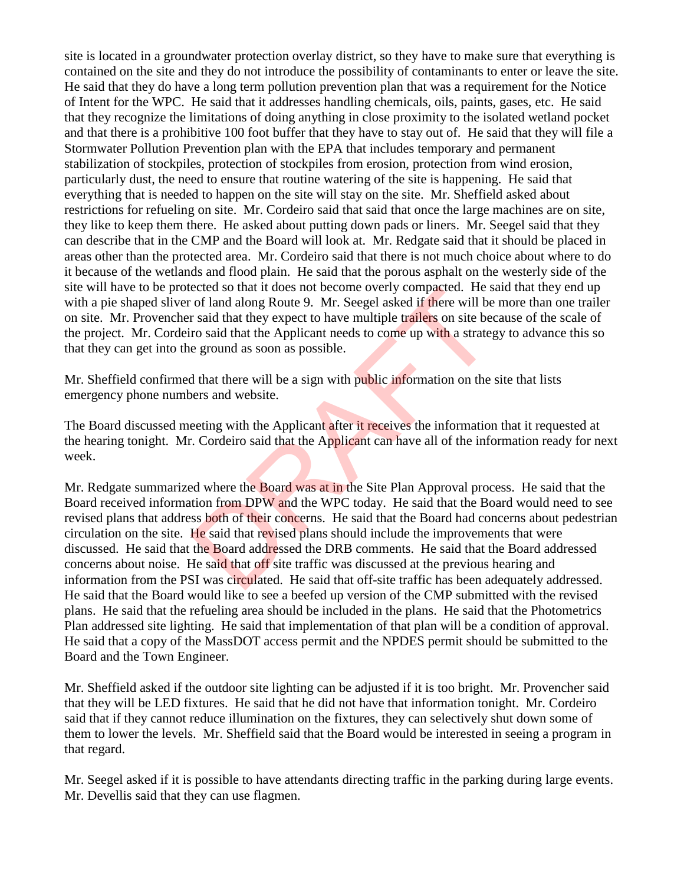site is located in a groundwater protection overlay district, so they have to make sure that everything is contained on the site and they do not introduce the possibility of contaminants to enter or leave the site. He said that they do have a long term pollution prevention plan that was a requirement for the Notice of Intent for the WPC. He said that it addresses handling chemicals, oils, paints, gases, etc. He said that they recognize the limitations of doing anything in close proximity to the isolated wetland pocket and that there is a prohibitive 100 foot buffer that they have to stay out of. He said that they will file a Stormwater Pollution Prevention plan with the EPA that includes temporary and permanent stabilization of stockpiles, protection of stockpiles from erosion, protection from wind erosion, particularly dust, the need to ensure that routine watering of the site is happening. He said that everything that is needed to happen on the site will stay on the site. Mr. Sheffield asked about restrictions for refueling on site. Mr. Cordeiro said that said that once the large machines are on site, they like to keep them there. He asked about putting down pads or liners. Mr. Seegel said that they can describe that in the CMP and the Board will look at. Mr. Redgate said that it should be placed in areas other than the protected area. Mr. Cordeiro said that there is not much choice about where to do it because of the wetlands and flood plain. He said that the porous asphalt on the westerly side of the site will have to be protected so that it does not become overly compacted. He said that they end up with a pie shaped sliver of land along Route 9. Mr. Seegel asked if there will be more than one trailer on site. Mr. Provencher said that they expect to have multiple trailers on site because of the scale of the project. Mr. Cordeiro said that the Applicant needs to come up with a strategy to advance this so that they can get into the ground as soon as possible.

Mr. Sheffield confirmed that there will be a sign with public information on the site that lists emergency phone numbers and website.

The Board discussed meeting with the Applicant after it receives the information that it requested at the hearing tonight. Mr. Cordeiro said that the Applicant can have all of the information ready for next week.

Mr. Redgate summarized where the **Board was at in the Site Plan Approval process.** He said that the Board received information from DPW and the WPC today. He said that the Board would need to see revised plans that address both of their concerns. He said that the Board had concerns about pedestrian circulation on the site. He said that revised plans should include the improvements that were discussed. He said that the Board addressed the DRB comments. He said that the Board addressed concerns about noise. He said that off site traffic was discussed at the previous hearing and information from the PSI was circulated. He said that off-site traffic has been adequately addressed. He said that the Board would like to see a beefed up version of the CMP submitted with the revised plans. He said that the refueling area should be included in the plans. He said that the Photometrics Plan addressed site lighting. He said that implementation of that plan will be a condition of approval. He said that a copy of the MassDOT access permit and the NPDES permit should be submitted to the Board and the Town Engineer. ected so that it does not become overly compacted. He s<br>of land along Route 9. Mr. Seegel asked if there will be<br>r said that they expect to have multiple trailers on site be<br>ro said that the Applicant needs to come up with

Mr. Sheffield asked if the outdoor site lighting can be adjusted if it is too bright. Mr. Provencher said that they will be LED fixtures. He said that he did not have that information tonight. Mr. Cordeiro said that if they cannot reduce illumination on the fixtures, they can selectively shut down some of them to lower the levels. Mr. Sheffield said that the Board would be interested in seeing a program in that regard.

Mr. Seegel asked if it is possible to have attendants directing traffic in the parking during large events. Mr. Devellis said that they can use flagmen.